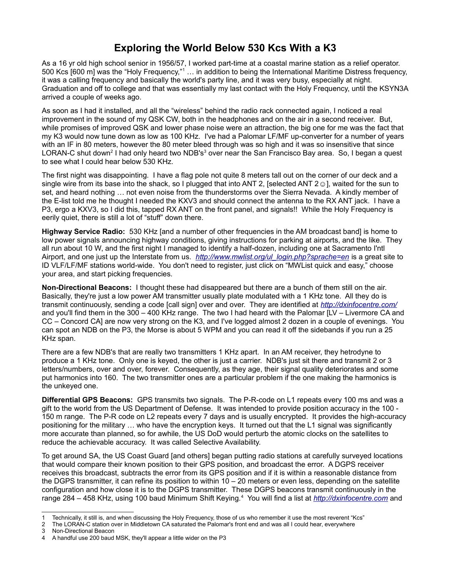## **Exploring the World Below 530 Kcs With a K3**

As a 16 yr old high school senior in 1956/57, I worked part-time at a coastal marine station as a relief operator. 500 Kcs [600 m] was the "Holy Frequency,"[1](#page-0-0) ... in addition to being the International Maritime Distress frequency, it was a calling frequency and basically the world's party line, and it was very busy, especially at night. Graduation and off to college and that was essentially my last contact with the Holy Frequency, until the KSYN3A arrived a couple of weeks ago.

As soon as I had it installed, and all the "wireless" behind the radio rack connected again, I noticed a real improvement in the sound of my QSK CW, both in the headphones and on the air in a second receiver. But, while promises of improved QSK and lower phase noise were an attraction, the big one for me was the fact that my K3 would now tune down as low as 100 KHz. I've had a Palomar LF/MF up-converter for a number of years with an IF in 80 meters, however the 80 meter bleed through was so high and it was so insensitive that since LORAN-C shut down<sup>[2](#page-0-1)</sup> I had only heard two NDB's<sup>[3](#page-0-2)</sup> over near the San Francisco Bay area. So, I began a quest to see what I could hear below 530 KHz.

The first night was disappointing. I have a flag pole not quite 8 meters tall out on the corner of our deck and a single wire from its base into the shack, so I plugged that into ANT 2, [selected ANT  $2 \odot$ ], waited for the sun to set, and heard nothing … not even noise from the thunderstorms over the Sierra Nevada. A kindly member of the E-list told me he thought I needed the KXV3 and should connect the antenna to the RX ANT jack. I have a P3, ergo a KXV3, so I did this, tapped RX ANT on the front panel, and signals!! While the Holy Frequency is eerily quiet, there is still a lot of "stuff" down there.

**Highway Service Radio:** 530 KHz [and a number of other frequencies in the AM broadcast band] is home to low power signals announcing highway conditions, giving instructions for parking at airports, and the like. They all run about 10 W, and the first night I managed to identify a half-dozen, including one at Sacramento I'ntl Airport, and one just up the Interstate from us. *[http://www.mwlist.org/ul\\_login.php?sprache=en](http://www.mwlist.org/ul_login.php?sprache=en)* is a great site to ID VLF/LF/MF stations world-wide. You don't need to register, just click on "MWList quick and easy," choose your area, and start picking frequencies.

**Non-Directional Beacons:** I thought these had disappeared but there are a bunch of them still on the air. Basically, they're just a low power AM transmitter usually plate modulated with a 1 KHz tone. All they do is transmit continuously, sending a code [call sign] over and over. They are identified at *<http://dxinfocentre.com/>* and you'll find them in the 300 – 400 KHz range. The two I had heard with the Palomar [LV – Livermore CA and CC – Concord CA] are now very strong on the K3, and I've logged almost 2 dozen in a couple of evenings. You can spot an NDB on the P3, the Morse is about 5 WPM and you can read it off the sidebands if you run a 25 KHz span.

There are a few NDB's that are really two transmitters 1 KHz apart. In an AM receiver, they hetrodyne to produce a 1 KHz tone. Only one is keyed, the other is just a carrier. NDB's just sit there and transmit 2 or 3 letters/numbers, over and over, forever. Consequently, as they age, their signal quality deteriorates and some put harmonics into 160. The two transmitter ones are a particular problem if the one making the harmonics is the unkeyed one.

**Differential GPS Beacons:** GPS transmits two signals. The P-R-code on L1 repeats every 100 ms and was a gift to the world from the US Department of Defense. It was intended to provide position accuracy in the 100 - 150 m range. The P-R code on L2 repeats every 7 days and is usually encrypted. It provides the high-accuracy positioning for the military … who have the encryption keys. It turned out that the L1 signal was significantly more accurate than planned, so for awhile, the US DoD would perturb the atomic clocks on the satellites to reduce the achievable accuracy. It was called Selective Availability.

To get around SA, the US Coast Guard [and others] began putting radio stations at carefully surveyed locations that would compare their known position to their GPS position, and broadcast the error. A DGPS receiver receives this broadcast, subtracts the error from its GPS position and if it is within a reasonable distance from the DGPS transmitter, it can refine its position to within  $10 - 20$  meters or even less, depending on the satellite configuration and how close it is to the DGPS transmitter. These DGPS beacons transmit continuously in the range 284 – 458 KHz, using 100 baud Minimum Shift Keying.[4](#page-0-3) You will find a list at *[http://dxinfocentre.com](http://dxinfocentre.com/)* and

<span id="page-0-0"></span><sup>1</sup> Technically, it still is, and when discussing the Holy Frequency, those of us who remember it use the most reverent "Kcs"

<span id="page-0-1"></span><sup>2</sup> The LORAN-C station over in Middletown CA saturated the Palomar's front end and was all I could hear, everywhere

<span id="page-0-2"></span><sup>3</sup> Non-Directional Beacon

<span id="page-0-3"></span><sup>4</sup> A handful use 200 baud MSK, they'll appear a little wider on the P3